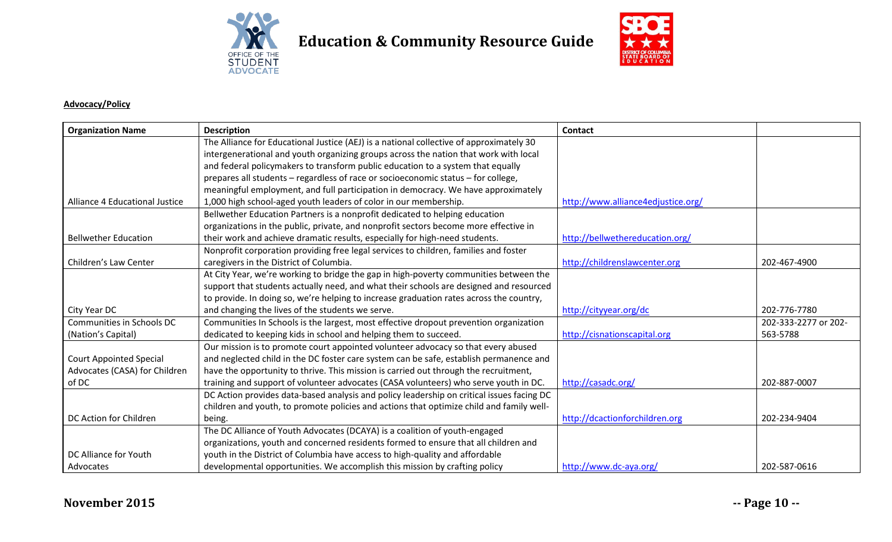

## **Education & Community Resource Guide**



## **Advocacy/Policy**

| <b>Organization Name</b>       | <b>Description</b>                                                                        | Contact                            |                      |
|--------------------------------|-------------------------------------------------------------------------------------------|------------------------------------|----------------------|
|                                | The Alliance for Educational Justice (AEJ) is a national collective of approximately 30   |                                    |                      |
|                                | intergenerational and youth organizing groups across the nation that work with local      |                                    |                      |
|                                | and federal policymakers to transform public education to a system that equally           |                                    |                      |
|                                | prepares all students - regardless of race or socioeconomic status - for college,         |                                    |                      |
|                                | meaningful employment, and full participation in democracy. We have approximately         |                                    |                      |
| Alliance 4 Educational Justice | 1,000 high school-aged youth leaders of color in our membership.                          | http://www.alliance4edjustice.org/ |                      |
|                                | Bellwether Education Partners is a nonprofit dedicated to helping education               |                                    |                      |
|                                | organizations in the public, private, and nonprofit sectors become more effective in      |                                    |                      |
| <b>Bellwether Education</b>    | their work and achieve dramatic results, especially for high-need students.               | http://bellwethereducation.org/    |                      |
|                                | Nonprofit corporation providing free legal services to children, families and foster      |                                    |                      |
| Children's Law Center          | caregivers in the District of Columbia.                                                   | http://childrenslawcenter.org      | 202-467-4900         |
|                                | At City Year, we're working to bridge the gap in high-poverty communities between the     |                                    |                      |
|                                | support that students actually need, and what their schools are designed and resourced    |                                    |                      |
|                                | to provide. In doing so, we're helping to increase graduation rates across the country,   |                                    |                      |
| City Year DC                   | and changing the lives of the students we serve.                                          | http://cityyear.org/dc             | 202-776-7780         |
| Communities in Schools DC      | Communities In Schools is the largest, most effective dropout prevention organization     |                                    | 202-333-2277 or 202- |
| (Nation's Capital)             | dedicated to keeping kids in school and helping them to succeed.                          | http://cisnationscapital.org       | 563-5788             |
|                                | Our mission is to promote court appointed volunteer advocacy so that every abused         |                                    |                      |
| <b>Court Appointed Special</b> | and neglected child in the DC foster care system can be safe, establish permanence and    |                                    |                      |
| Advocates (CASA) for Children  | have the opportunity to thrive. This mission is carried out through the recruitment,      |                                    |                      |
| of DC                          | training and support of volunteer advocates (CASA volunteers) who serve youth in DC.      | http://casadc.org/                 | 202-887-0007         |
|                                | DC Action provides data-based analysis and policy leadership on critical issues facing DC |                                    |                      |
|                                | children and youth, to promote policies and actions that optimize child and family well-  |                                    |                      |
| DC Action for Children         | being.                                                                                    | http://dcactionforchildren.org     | 202-234-9404         |
|                                | The DC Alliance of Youth Advocates (DCAYA) is a coalition of youth-engaged                |                                    |                      |
|                                | organizations, youth and concerned residents formed to ensure that all children and       |                                    |                      |
| DC Alliance for Youth          | youth in the District of Columbia have access to high-quality and affordable              |                                    |                      |
| Advocates                      | developmental opportunities. We accomplish this mission by crafting policy                | http://www.dc-aya.org/             | 202-587-0616         |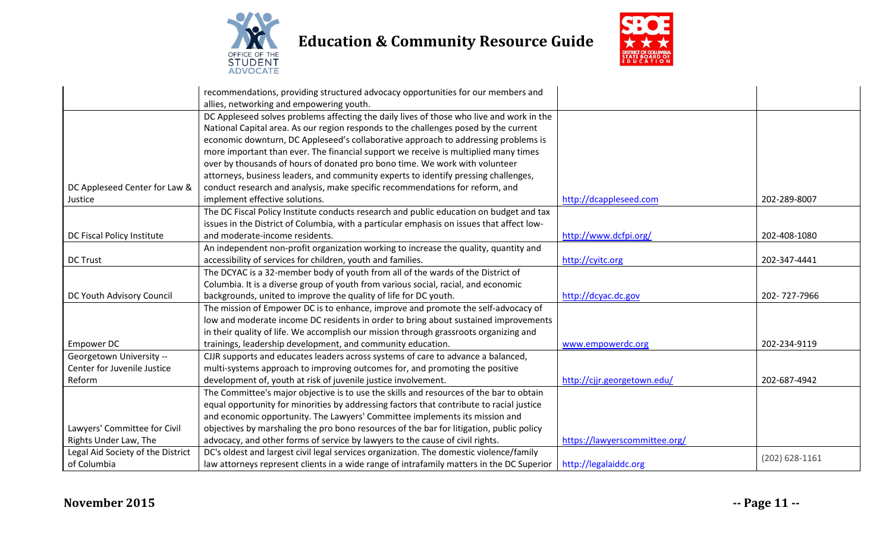

**Education & Community Resource Guide**



|                                   | recommendations, providing structured advocacy opportunities for our members and          |                               |                  |
|-----------------------------------|-------------------------------------------------------------------------------------------|-------------------------------|------------------|
|                                   | allies, networking and empowering youth.                                                  |                               |                  |
|                                   | DC Appleseed solves problems affecting the daily lives of those who live and work in the  |                               |                  |
|                                   | National Capital area. As our region responds to the challenges posed by the current      |                               |                  |
|                                   | economic downturn, DC Appleseed's collaborative approach to addressing problems is        |                               |                  |
|                                   | more important than ever. The financial support we receive is multiplied many times       |                               |                  |
|                                   | over by thousands of hours of donated pro bono time. We work with volunteer               |                               |                  |
|                                   | attorneys, business leaders, and community experts to identify pressing challenges,       |                               |                  |
| DC Appleseed Center for Law &     | conduct research and analysis, make specific recommendations for reform, and              |                               |                  |
| Justice                           | implement effective solutions.                                                            | http://dcappleseed.com        | 202-289-8007     |
|                                   | The DC Fiscal Policy Institute conducts research and public education on budget and tax   |                               |                  |
|                                   | issues in the District of Columbia, with a particular emphasis on issues that affect low- |                               |                  |
| DC Fiscal Policy Institute        | and moderate-income residents.                                                            | http://www.dcfpi.org/         | 202-408-1080     |
|                                   | An independent non-profit organization working to increase the quality, quantity and      |                               |                  |
| <b>DC Trust</b>                   | accessibility of services for children, youth and families.                               | http://cyitc.org              | 202-347-4441     |
|                                   | The DCYAC is a 32-member body of youth from all of the wards of the District of           |                               |                  |
|                                   | Columbia. It is a diverse group of youth from various social, racial, and economic        |                               |                  |
| DC Youth Advisory Council         | backgrounds, united to improve the quality of life for DC youth.                          | http://dcyac.dc.gov           | 202-727-7966     |
|                                   | The mission of Empower DC is to enhance, improve and promote the self-advocacy of         |                               |                  |
|                                   | low and moderate income DC residents in order to bring about sustained improvements       |                               |                  |
|                                   | in their quality of life. We accomplish our mission through grassroots organizing and     |                               |                  |
| <b>Empower DC</b>                 | trainings, leadership development, and community education.                               | www.empowerdc.org             | 202-234-9119     |
| Georgetown University --          | CJJR supports and educates leaders across systems of care to advance a balanced,          |                               |                  |
| Center for Juvenile Justice       | multi-systems approach to improving outcomes for, and promoting the positive              |                               |                  |
| Reform                            | development of, youth at risk of juvenile justice involvement.                            | http://cjjr.georgetown.edu/   | 202-687-4942     |
|                                   | The Committee's major objective is to use the skills and resources of the bar to obtain   |                               |                  |
|                                   | equal opportunity for minorities by addressing factors that contribute to racial justice  |                               |                  |
|                                   | and economic opportunity. The Lawyers' Committee implements its mission and               |                               |                  |
| Lawyers' Committee for Civil      | objectives by marshaling the pro bono resources of the bar for litigation, public policy  |                               |                  |
| Rights Under Law, The             | advocacy, and other forms of service by lawyers to the cause of civil rights.             | https://lawyerscommittee.org/ |                  |
| Legal Aid Society of the District | DC's oldest and largest civil legal services organization. The domestic violence/family   |                               |                  |
| of Columbia                       | law attorneys represent clients in a wide range of intrafamily matters in the DC Superior | http://legalaiddc.org         | $(202)$ 628-1161 |